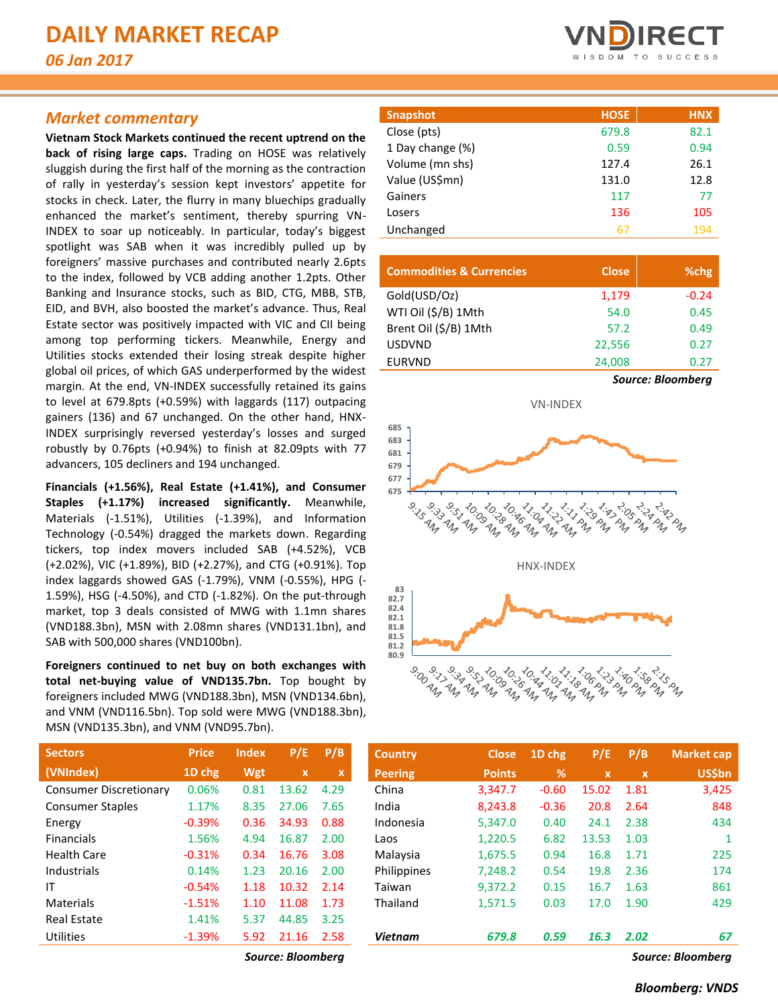### *Market commentary*

**Vietnam Stock Markets continued the recent uptrend on the back of rising large caps.** Trading on HOSE was relatively sluggish during the first half of the morning as the contraction of rally in yesterday's session kept investors' appetite for stocks in check. Later, the flurry in many bluechips gradually enhanced the market's sentiment, thereby spurring VN-INDEX to soar up noticeably. In particular, today's biggest spotlight was SAB when it was incredibly pulled up by foreigners' massive purchases and contributed nearly 2.6pts to the index, followed by VCB adding another 1.2pts. Other Banking and Insurance stocks, such as BID, CTG, MBB, STB, EID, and BVH, also boosted the market's advance. Thus, Real Estate sector was positively impacted with VIC and CII being among top performing tickers. Meanwhile, Energy and Utilities stocks extended their losing streak despite higher global oil prices, of which GAS underperformed by the widest margin. At the end, VN-INDEX successfully retained its gains to level at 679.8pts (+0.59%) with laggards (117) outpacing gainers (136) and 67 unchanged. On the other hand, HNX-INDEX surprisingly reversed yesterday's losses and surged robustly by 0.76pts (+0.94%) to finish at 82.09pts with 77 advancers, 105 decliners and 194 unchanged.

**Financials (+1.56%), Real Estate (+1.41%), and Consumer Staples (+1.17%) increased significantly.** Meanwhile, Materials (-1.51%), Utilities (-1.39%), and Information Technology (-0.54%) dragged the markets down. Regarding tickers, top index movers included SAB (+4.52%), VCB (+2.02%), VIC (+1.89%), BID (+2.27%), and CTG (+0.91%). Top index laggards showed GAS (-1.79%), VNM (-0.55%), HPG (- 1.59%), HSG (-4.50%), and CTD (-1.82%). On the put-through market, top 3 deals consisted of MWG with 1.1mn shares (VND188.3bn), MSN with 2.08mn shares (VND131.1bn), and SAB with 500,000 shares (VND100bn).

**Foreigners continued to net buy on both exchanges with total net-buying value of VND135.7bn.** Top bought by foreigners included MWG (VND188.3bn), MSN (VND134.6bn), and VNM (VND116.5bn). Top sold were MWG (VND188.3bn), MSN (VND135.3bn), and VNM (VND95.7bn).

| <b>Snapshot</b>  | <b>HOSE</b> | <b>HNX</b> |
|------------------|-------------|------------|
| Close (pts)      | 679.8       | 82.1       |
| 1 Day change (%) | 0.59        | 0.94       |
| Volume (mn shs)  | 127.4       | 26.1       |
| Value (US\$mn)   | 131.0       | 12.8       |
| Gainers          | 117         | 77         |
| Losers           | 136         | 105        |
| Unchanged        | 67          | 194        |

| <b>Commodities &amp; Currencies</b> | <b>Close</b>             | %chg    |  |  |  |
|-------------------------------------|--------------------------|---------|--|--|--|
| Gold(USD/Oz)                        | 1,179                    | $-0.24$ |  |  |  |
| WTI Oil (\$/B) 1Mth                 | 54.0                     | 0.45    |  |  |  |
| Brent Oil (\$/B) 1Mth               | 57.2                     | 0.49    |  |  |  |
| <b>USDVND</b>                       | 22,556                   | 0.27    |  |  |  |
| <b>EURVND</b>                       | 24,008                   | 0.27    |  |  |  |
|                                     | <b>Source: Bloomberg</b> |         |  |  |  |



| <b>Sectors</b>                | <b>Price</b> | <b>Index</b> | P/E         | P/B  |
|-------------------------------|--------------|--------------|-------------|------|
| (VNIndex)                     | 1D chg       | Wgt          | $\mathbf x$ | x    |
| <b>Consumer Discretionary</b> | 0.06%        | 0.81         | 13.62       | 4.29 |
| <b>Consumer Staples</b>       | 1.17%        | 8.35         | 27.06       | 7.65 |
| Energy                        | $-0.39%$     | 0.36         | 34.93       | 0.88 |
| <b>Financials</b>             | 1.56%        | 4.94         | 16.87       | 2.00 |
| Health Care                   | $-0.31%$     | 0.34         | 16.76       | 3.08 |
| Industrials                   | 0.14%        | 1.23         | 20.16       | 2.00 |
| ΙT                            | $-0.54%$     | 1.18         | 10.32       | 2.14 |
| Materials                     | $-1.51%$     | 1.10         | 11.08       | 1.73 |
| Real Estate                   | 1.41%        | 5.37         | 44.85       | 3.25 |
| Utilities                     | $-1.39%$     | 5.92         | 21.16       | 2.58 |

| <b>Sectors</b>                | <b>Price</b> | <b>Index</b> | P/E          | P/B         | <b>Country</b> | <b>Close</b>  | 1D chg  | P/E         | P/B          | <b>Market cap</b> |
|-------------------------------|--------------|--------------|--------------|-------------|----------------|---------------|---------|-------------|--------------|-------------------|
| (VNIndex)                     | 1D chg       | Wgt          | $\mathbf{x}$ | $\mathbf x$ | <b>Peering</b> | <b>Points</b> | %       | $\mathbf x$ | $\mathbf{x}$ | <b>US\$bn</b>     |
| <b>Consumer Discretionary</b> | 0.06%        | 0.81         | 13.62        | 4.29        | China          | 3,347.7       | $-0.60$ | 15.02       | 1.81         | 3,425             |
| <b>Consumer Staples</b>       | 1.17%        | 8.35         | 27.06        | 7.65        | India          | 8,243.8       | $-0.36$ | 20.8        | 2.64         | 848               |
| Energy                        | $-0.39%$     | 0.36         | 34.93        | 0.88        | Indonesia      | 5,347.0       | 0.40    | 24.1        | 2.38         | 434               |
| <b>Financials</b>             | 1.56%        | 4.94         | 16.87        | 2.00        | Laos           | 1,220.5       | 6.82    | 13.53       | 1.03         |                   |
| Health Care                   | $-0.31%$     | 0.34         | 16.76        | 3.08        | Malaysia       | 1,675.5       | 0.94    | 16.8        | 1.71         | 225               |
| <b>Industrials</b>            | 0.14%        | 1.23         | 20.16        | 2.00        | Philippines    | 7,248.2       | 0.54    | 19.8        | 2.36         | 174               |
| ΙT                            | $-0.54%$     | 1.18         | 10.32        | 2.14        | Taiwan         | 9.372.2       | 0.15    | 16.7        | 1.63         | 861               |
| Materials                     | $-1.51%$     | 1.10         | 11.08        | 1.73        | Thailand       | 1,571.5       | 0.03    | 17.0        | 1.90         | 429               |
| <b>Real Estate</b>            | 1.41%        | 5.37         | 44.85        | 3.25        |                |               |         |             |              |                   |
| Utilities                     | $-1.39%$     | 5.92         | 21.16        | 2.58        | <b>Vietnam</b> | 679.8         | 0.59    | 16.3        | 2.02         | 67                |

*Source: Bloomberg Source: Bloomberg*

#### *Bloomberg: VNDS*

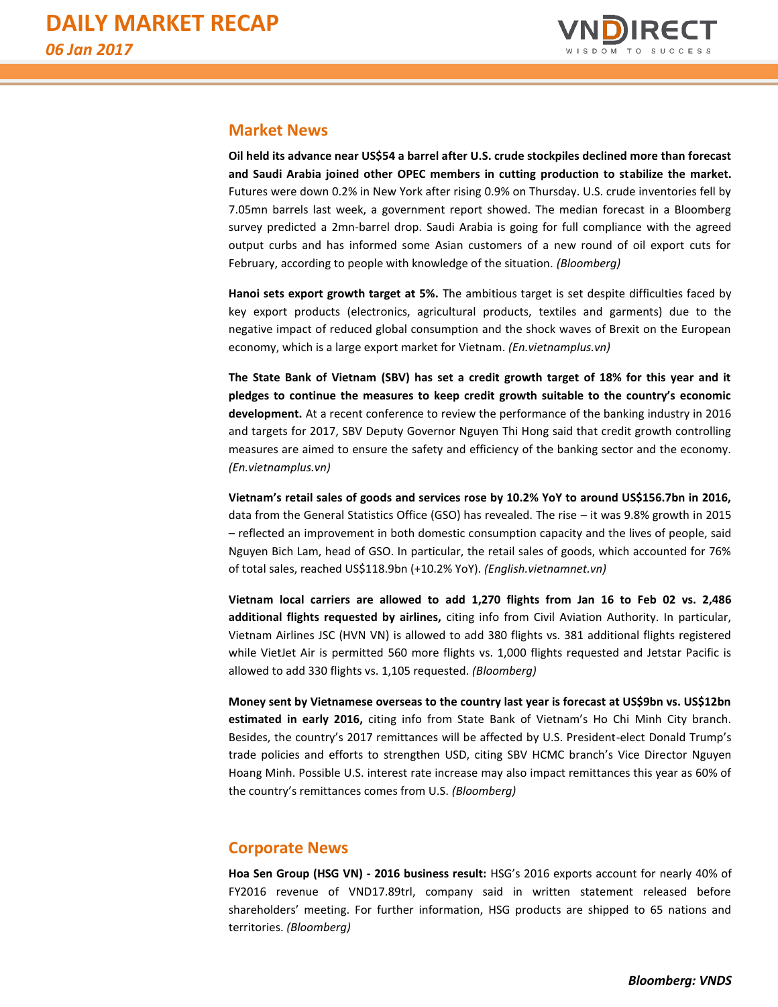

#### **Market News**

**Oil held its advance near US\$54 a barrel after U.S. crude stockpiles declined more than forecast and Saudi Arabia joined other OPEC members in cutting production to stabilize the market.**  Futures were down 0.2% in New York after rising 0.9% on Thursday. U.S. crude inventories fell by 7.05mn barrels last week, a government report showed. The median forecast in a Bloomberg survey predicted a 2mn-barrel drop. Saudi Arabia is going for full compliance with the agreed output curbs and has informed some Asian customers of a new round of oil export cuts for February, according to people with knowledge of the situation. *(Bloomberg)*

**Hanoi sets export growth target at 5%.** The ambitious target is set despite difficulties faced by key export products (electronics, agricultural products, textiles and garments) due to the negative impact of reduced global consumption and the shock waves of Brexit on the European economy, which is a large export market for Vietnam. *(En.vietnamplus.vn)*

**The State Bank of Vietnam (SBV) has set a credit growth target of 18% for this year and it pledges to continue the measures to keep credit growth suitable to the country's economic development.** At a recent conference to review the performance of the banking industry in 2016 and targets for 2017, SBV Deputy Governor Nguyen Thi Hong said that credit growth controlling measures are aimed to ensure the safety and efficiency of the banking sector and the economy. *(En.vietnamplus.vn)*

**Vietnam's retail sales of goods and services rose by 10.2% YoY to around US\$156.7bn in 2016,**  data from the General Statistics Office (GSO) has revealed. The rise – it was 9.8% growth in 2015 – reflected an improvement in both domestic consumption capacity and the lives of people, said Nguyen Bich Lam, head of GSO. In particular, the retail sales of goods, which accounted for 76% of total sales, reached US\$118.9bn (+10.2% YoY). *(English.vietnamnet.vn)*

**Vietnam local carriers are allowed to add 1,270 flights from Jan 16 to Feb 02 vs. 2,486 additional flights requested by airlines,** citing info from Civil Aviation Authority. In particular, Vietnam Airlines JSC (HVN VN) is allowed to add 380 flights vs. 381 additional flights registered while VietJet Air is permitted 560 more flights vs. 1,000 flights requested and Jetstar Pacific is allowed to add 330 flights vs. 1,105 requested. *(Bloomberg)*

**Money sent by Vietnamese overseas to the country last year is forecast at US\$9bn vs. US\$12bn estimated in early 2016,** citing info from State Bank of Vietnam's Ho Chi Minh City branch. Besides, the country's 2017 remittances will be affected by U.S. President-elect Donald Trump's trade policies and efforts to strengthen USD, citing SBV HCMC branch's Vice Director Nguyen Hoang Minh. Possible U.S. interest rate increase may also impact remittances this year as 60% of the country's remittances comes from U.S. *(Bloomberg)*

#### **Corporate News**

**Hoa Sen Group (HSG VN) - 2016 business result:** HSG's 2016 exports account for nearly 40% of FY2016 revenue of VND17.89trl, company said in written statement released before shareholders' meeting. For further information, HSG products are shipped to 65 nations and territories. *(Bloomberg)*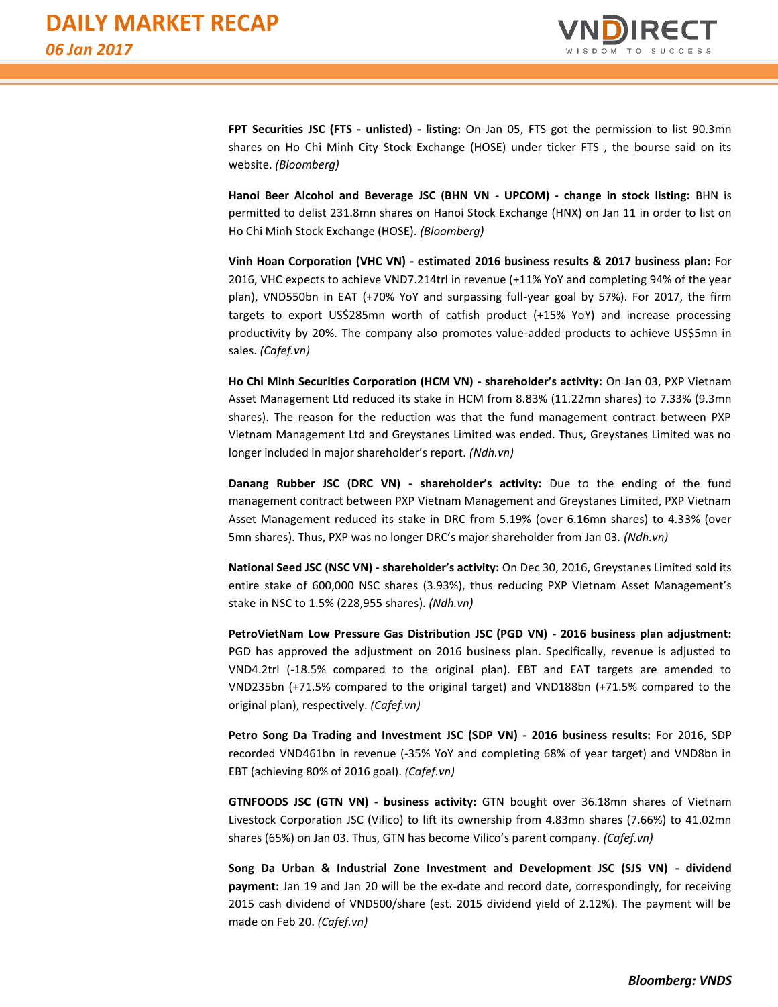

**FPT Securities JSC (FTS - unlisted) - listing:** On Jan 05, FTS got the permission to list 90.3mn shares on Ho Chi Minh City Stock Exchange (HOSE) under ticker FTS , the bourse said on its website. *(Bloomberg)*

**Hanoi Beer Alcohol and Beverage JSC (BHN VN - UPCOM) - change in stock listing:** BHN is permitted to delist 231.8mn shares on Hanoi Stock Exchange (HNX) on Jan 11 in order to list on Ho Chi Minh Stock Exchange (HOSE). *(Bloomberg)*

**Vinh Hoan Corporation (VHC VN) - estimated 2016 business results & 2017 business plan:** For 2016, VHC expects to achieve VND7.214trl in revenue (+11% YoY and completing 94% of the year plan), VND550bn in EAT (+70% YoY and surpassing full-year goal by 57%). For 2017, the firm targets to export US\$285mn worth of catfish product (+15% YoY) and increase processing productivity by 20%. The company also promotes value-added products to achieve US\$5mn in sales. *(Cafef.vn)*

**Ho Chi Minh Securities Corporation (HCM VN) - shareholder's activity:** On Jan 03, PXP Vietnam Asset Management Ltd reduced its stake in HCM from 8.83% (11.22mn shares) to 7.33% (9.3mn shares). The reason for the reduction was that the fund management contract between PXP Vietnam Management Ltd and Greystanes Limited was ended. Thus, Greystanes Limited was no longer included in major shareholder's report. *(Ndh.vn)*

**Danang Rubber JSC (DRC VN) - shareholder's activity:** Due to the ending of the fund management contract between PXP Vietnam Management and Greystanes Limited, PXP Vietnam Asset Management reduced its stake in DRC from 5.19% (over 6.16mn shares) to 4.33% (over 5mn shares). Thus, PXP was no longer DRC's major shareholder from Jan 03. *(Ndh.vn)*

**National Seed JSC (NSC VN) - shareholder's activity:** On Dec 30, 2016, Greystanes Limited sold its entire stake of 600,000 NSC shares (3.93%), thus reducing PXP Vietnam Asset Management's stake in NSC to 1.5% (228,955 shares). *(Ndh.vn)*

**PetroVietNam Low Pressure Gas Distribution JSC (PGD VN) - 2016 business plan adjustment:** PGD has approved the adjustment on 2016 business plan. Specifically, revenue is adjusted to VND4.2trl (-18.5% compared to the original plan). EBT and EAT targets are amended to VND235bn (+71.5% compared to the original target) and VND188bn (+71.5% compared to the original plan), respectively. *(Cafef.vn)*

**Petro Song Da Trading and Investment JSC (SDP VN) - 2016 business results:** For 2016, SDP recorded VND461bn in revenue (-35% YoY and completing 68% of year target) and VND8bn in EBT (achieving 80% of 2016 goal). *(Cafef.vn)*

**GTNFOODS JSC (GTN VN) - business activity:** GTN bought over 36.18mn shares of Vietnam Livestock Corporation JSC (Vilico) to lift its ownership from 4.83mn shares (7.66%) to 41.02mn shares (65%) on Jan 03. Thus, GTN has become Vilico's parent company. *(Cafef.vn)*

**Song Da Urban & Industrial Zone Investment and Development JSC (SJS VN) - dividend payment:** Jan 19 and Jan 20 will be the ex-date and record date, correspondingly, for receiving 2015 cash dividend of VND500/share (est. 2015 dividend yield of 2.12%). The payment will be made on Feb 20. *(Cafef.vn)*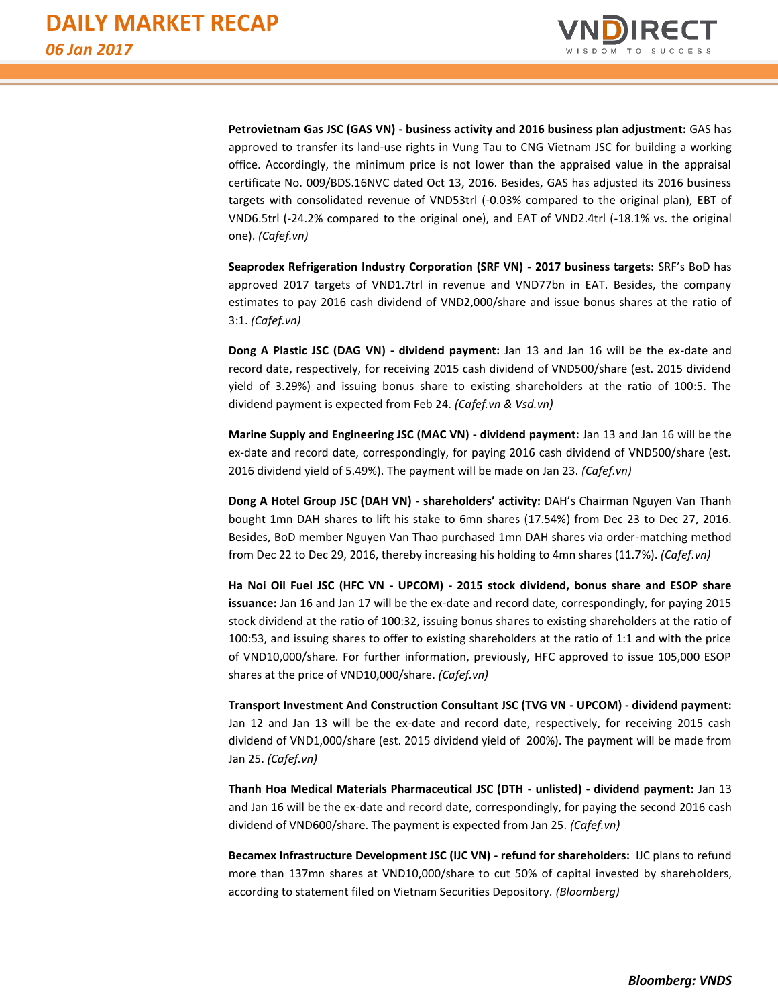

**Petrovietnam Gas JSC (GAS VN) - business activity and 2016 business plan adjustment:** GAS has approved to transfer its land-use rights in Vung Tau to CNG Vietnam JSC for building a working office. Accordingly, the minimum price is not lower than the appraised value in the appraisal certificate No. 009/BDS.16NVC dated Oct 13, 2016. Besides, GAS has adjusted its 2016 business targets with consolidated revenue of VND53trl (-0.03% compared to the original plan), EBT of VND6.5trl (-24.2% compared to the original one), and EAT of VND2.4trl (-18.1% vs. the original one). *(Cafef.vn)*

**Seaprodex Refrigeration Industry Corporation (SRF VN) - 2017 business targets:** SRF's BoD has approved 2017 targets of VND1.7trl in revenue and VND77bn in EAT. Besides, the company estimates to pay 2016 cash dividend of VND2,000/share and issue bonus shares at the ratio of 3:1. *(Cafef.vn)*

**Dong A Plastic JSC (DAG VN) - dividend payment:** Jan 13 and Jan 16 will be the ex-date and record date, respectively, for receiving 2015 cash dividend of VND500/share (est. 2015 dividend yield of 3.29%) and issuing bonus share to existing shareholders at the ratio of 100:5. The dividend payment is expected from Feb 24. *(Cafef.vn & Vsd.vn)*

**Marine Supply and Engineering JSC (MAC VN) - dividend payment:** Jan 13 and Jan 16 will be the ex-date and record date, correspondingly, for paying 2016 cash dividend of VND500/share (est. 2016 dividend yield of 5.49%). The payment will be made on Jan 23. *(Cafef.vn)*

**Dong A Hotel Group JSC (DAH VN) - shareholders' activity:** DAH's Chairman Nguyen Van Thanh bought 1mn DAH shares to lift his stake to 6mn shares (17.54%) from Dec 23 to Dec 27, 2016. Besides, BoD member Nguyen Van Thao purchased 1mn DAH shares via order-matching method from Dec 22 to Dec 29, 2016, thereby increasing his holding to 4mn shares (11.7%). *(Cafef.vn)*

**Ha Noi Oil Fuel JSC (HFC VN - UPCOM) - 2015 stock dividend, bonus share and ESOP share issuance:** Jan 16 and Jan 17 will be the ex-date and record date, correspondingly, for paying 2015 stock dividend at the ratio of 100:32, issuing bonus shares to existing shareholders at the ratio of 100:53, and issuing shares to offer to existing shareholders at the ratio of 1:1 and with the price of VND10,000/share. For further information, previously, HFC approved to issue 105,000 ESOP shares at the price of VND10,000/share. *(Cafef.vn)*

**Transport Investment And Construction Consultant JSC (TVG VN - UPCOM) - dividend payment:** Jan 12 and Jan 13 will be the ex-date and record date, respectively, for receiving 2015 cash dividend of VND1,000/share (est. 2015 dividend yield of 200%). The payment will be made from Jan 25. *(Cafef.vn)*

**Thanh Hoa Medical Materials Pharmaceutical JSC (DTH - unlisted) - dividend payment:** Jan 13 and Jan 16 will be the ex-date and record date, correspondingly, for paying the second 2016 cash dividend of VND600/share. The payment is expected from Jan 25. *(Cafef.vn)*

**Becamex Infrastructure Development JSC (IJC VN) - refund for shareholders:** IJC plans to refund more than 137mn shares at VND10,000/share to cut 50% of capital invested by shareholders, according to statement filed on Vietnam Securities Depository. *(Bloomberg)*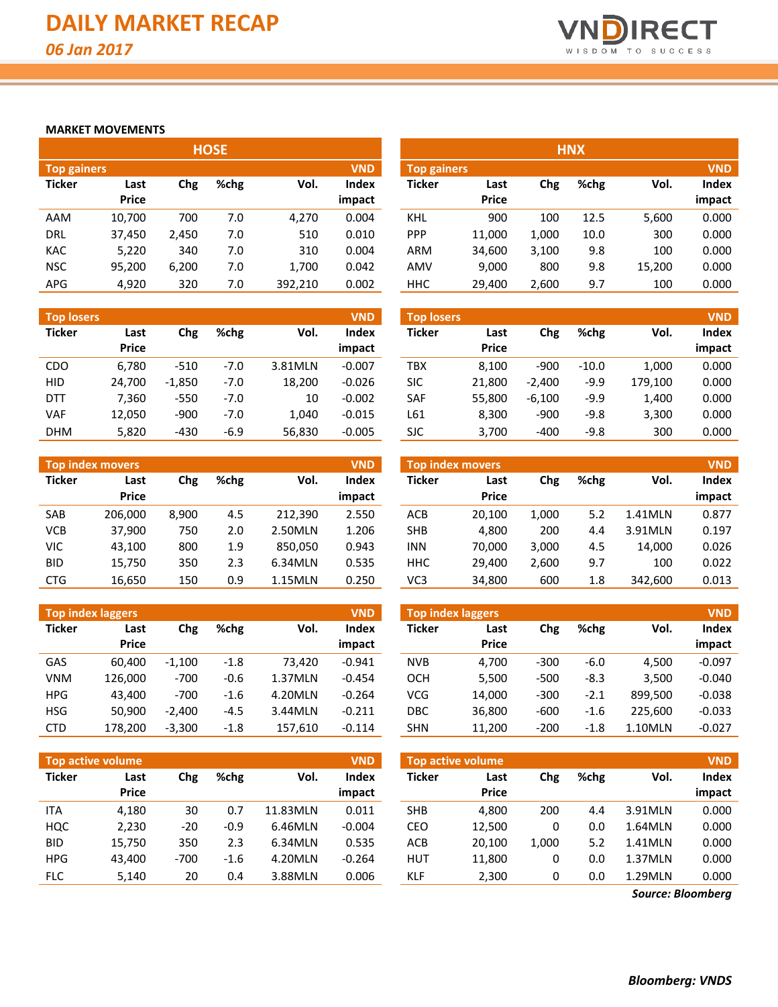

#### **MARKET MOVEMENTS**

|                    |              |       | <b>HOSE</b> |         |            |                    |              |       | <b>HNX</b> |        |            |
|--------------------|--------------|-------|-------------|---------|------------|--------------------|--------------|-------|------------|--------|------------|
| <b>Top gainers</b> |              |       |             |         | <b>VND</b> | <b>Top gainers</b> |              |       |            |        | <b>VND</b> |
| <b>Ticker</b>      | Last         | Chg   | %chg        | Vol.    | Index      | <b>Ticker</b>      | Last         | Chg   | %chg       | Vol.   | Index      |
|                    | <b>Price</b> |       |             |         | impact     |                    | <b>Price</b> |       |            |        | impact     |
| AAM                | 10,700       | 700   | 7.0         | 4,270   | 0.004      | KHL                | 900          | 100   | 12.5       | 5,600  | 0.000      |
| <b>DRL</b>         | 37,450       | 2,450 | 7.0         | 510     | 0.010      | <b>PPP</b>         | 11,000       | 1,000 | 10.0       | 300    | 0.000      |
| <b>KAC</b>         | 5,220        | 340   | 7.0         | 310     | 0.004      | <b>ARM</b>         | 34,600       | 3,100 | 9.8        | 100    | 0.000      |
| <b>NSC</b>         | 95,200       | 6,200 | 7.0         | 1.700   | 0.042      | AMV                | 9,000        | 800   | 9.8        | 15,200 | 0.000      |
| <b>APG</b>         | 4,920        | 320   | 7.0         | 392,210 | 0.002      | <b>HHC</b>         | 29,400       | 2,600 | 9.7        | 100    | 0.000      |

| <b>Top losers</b> |                      |          |        |         | <b>VND</b>             | <b>Top losers</b> |                      |          |         |         | <b>VND</b>      |
|-------------------|----------------------|----------|--------|---------|------------------------|-------------------|----------------------|----------|---------|---------|-----------------|
| <b>Ticker</b>     | Last<br><b>Price</b> | Chg      | %chg   | Vol.    | <b>Index</b><br>impact | <b>Ticker</b>     | Last<br><b>Price</b> | Chg      | %chg    | Vol.    | Index<br>impact |
| CDO               | 6.780                | $-510$   | $-7.0$ | 3.81MLN | $-0.007$               | TBX               | 8.100                | $-900$   | $-10.0$ | 1,000   | 0.000           |
| <b>HID</b>        | 24,700               | $-1,850$ | $-7.0$ | 18,200  | $-0.026$               | <b>SIC</b>        | 21.800               | $-2.400$ | $-9.9$  | 179,100 | 0.000           |
| <b>DTT</b>        | 7.360                | $-550$   | $-7.0$ | 10      | $-0.002$               | <b>SAF</b>        | 55.800               | $-6,100$ | $-9.9$  | 1,400   | 0.000           |
| VAF               | 12,050               | $-900$   | $-7.0$ | 1.040   | $-0.015$               | L61               | 8,300                | $-900$   | $-9.8$  | 3,300   | 0.000           |
| <b>DHM</b>        | 5,820                | $-430$   | $-6.9$ | 56,830  | $-0.005$               | <b>SJC</b>        | 3,700                | $-400$   | $-9.8$  | 300     | 0.000           |

|               | <b>Top index movers</b> |       |      |         | <b>VND</b>   |            | <b>Top index movers</b> |       |      |         | <b>VND</b> |
|---------------|-------------------------|-------|------|---------|--------------|------------|-------------------------|-------|------|---------|------------|
| <b>Ticker</b> | Last                    | Chg   | %chg | Vol.    | <b>Index</b> | Ticker     | Last                    | Chg   | %chg | Vol.    | Index      |
|               | <b>Price</b>            |       |      |         | impact       |            | <b>Price</b>            |       |      |         | impact     |
| SAB           | 206.000                 | 8.900 | 4.5  | 212.390 | 2.550        | ACB        | 20.100                  | 1.000 | 5.2  | 1.41MLN | 0.877      |
| <b>VCB</b>    | 37.900                  | 750   | 2.0  | 2.50MLN | 1.206        | <b>SHB</b> | 4.800                   | 200   | 4.4  | 3.91MLN | 0.197      |
| <b>VIC</b>    | 43,100                  | 800   | 1.9  | 850.050 | 0.943        | <b>INN</b> | 70.000                  | 3.000 | 4.5  | 14.000  | 0.026      |
| <b>BID</b>    | 15,750                  | 350   | 2.3  | 6.34MLN | 0.535        | <b>HHC</b> | 29.400                  | 2.600 | 9.7  | 100     | 0.022      |
| <b>CTG</b>    | 16,650                  | 150   | 0.9  | 1.15MLN | 0.250        | VC3        | 34,800                  | 600   | 1.8  | 342.600 | 0.013      |

|               | <b>Top index laggers</b> |          |        |         | <b>VND</b>      | <b>VND</b><br><b>Top index laggers</b> |                      |        |        |         |                 |
|---------------|--------------------------|----------|--------|---------|-----------------|----------------------------------------|----------------------|--------|--------|---------|-----------------|
| <b>Ticker</b> | Last<br><b>Price</b>     | Chg      | %chg   | Vol.    | Index<br>impact | <b>Ticker</b>                          | Last<br><b>Price</b> | Chg    | %chg   | Vol.    | Index<br>impact |
| GAS           | 60.400                   | $-1.100$ | $-1.8$ | 73.420  | $-0.941$        | <b>NVB</b>                             | 4.700                | $-300$ | $-6.0$ | 4.500   | $-0.097$        |
| <b>VNM</b>    | 126.000                  | $-700$   | $-0.6$ | 1.37MLN | $-0.454$        | OCH                                    | 5,500                | $-500$ | $-8.3$ | 3.500   | $-0.040$        |
| <b>HPG</b>    | 43.400                   | $-700$   | $-1.6$ | 4.20MLN | $-0.264$        | <b>VCG</b>                             | 14.000               | $-300$ | $-2.1$ | 899.500 | $-0.038$        |
| <b>HSG</b>    | 50.900                   | $-2.400$ | $-4.5$ | 3.44MLN | $-0.211$        | DBC                                    | 36,800               | $-600$ | $-1.6$ | 225,600 | $-0.033$        |
| <b>CTD</b>    | 178.200                  | $-3,300$ | $-1.8$ | 157,610 | $-0.114$        | <b>SHN</b>                             | 11,200               | $-200$ | $-1.8$ | 1.10MLN | $-0.027$        |

| Top active volume |              |        |         |          | <b>VND</b> |               | <b>Top active volume</b> |       |      |         | <b>VND</b> |
|-------------------|--------------|--------|---------|----------|------------|---------------|--------------------------|-------|------|---------|------------|
| <b>Ticker</b>     | Last         | Chg    | $%$ chg | Vol.     | Index      | <b>Ticker</b> | Last                     | Chg   | %chg | Vol.    | Index      |
|                   | <b>Price</b> |        |         |          | impact     |               | <b>Price</b>             |       |      |         | impact     |
| <b>ITA</b>        | 4,180        | 30     | 0.7     | 11.83MLN | 0.011      | <b>SHB</b>    | 4.800                    | 200   | 4.4  | 3.91MLN | 0.000      |
| HQC               | 2,230        | $-20$  | $-0.9$  | 6.46MLN  | $-0.004$   | CEO           | 12,500                   |       | 0.0  | 1.64MLN | 0.000      |
| <b>BID</b>        | 15.750       | 350    | 2.3     | 6.34MLN  | 0.535      | ACB           | 20.100                   | 1.000 | 5.2  | 1.41MLN | 0.000      |
| <b>HPG</b>        | 43.400       | $-700$ | $-1.6$  | 4.20MLN  | $-0.264$   | <b>HUT</b>    | 11,800                   |       | 0.0  | 1.37MLN | 0.000      |
| <b>FLC</b>        | 5,140        | 20     | 0.4     | 3.88MLN  | 0.006      | KLF           | 2,300                    |       | 0.0  | 1.29MLN | 0.000      |

| <b>HNX</b>    |                                  |       |      |        |        |  |  |  |  |  |  |  |
|---------------|----------------------------------|-------|------|--------|--------|--|--|--|--|--|--|--|
|               | <b>VND</b><br><b>Top gainers</b> |       |      |        |        |  |  |  |  |  |  |  |
| <b>Ticker</b> | Last                             | Chg   | %chg | Vol.   | Index  |  |  |  |  |  |  |  |
|               | Price                            |       |      |        | impact |  |  |  |  |  |  |  |
| KHL           | 900                              | 100   | 12.5 | 5,600  | 0.000  |  |  |  |  |  |  |  |
| <b>PPP</b>    | 11,000                           | 1,000 | 10.0 | 300    | 0.000  |  |  |  |  |  |  |  |
| ARM           | 34,600                           | 3,100 | 9.8  | 100    | 0.000  |  |  |  |  |  |  |  |
| AMV           | 9,000                            | 800   | 9.8  | 15,200 | 0.000  |  |  |  |  |  |  |  |
| ннс           | 29,400                           | 2,600 | 9.7  | 100    | 0.000  |  |  |  |  |  |  |  |

| <b>Top losers</b> |                      |          |        |         | <b>VND</b>             | <b>Top losers</b> |                      |          |         |         | <b>VND</b>      |
|-------------------|----------------------|----------|--------|---------|------------------------|-------------------|----------------------|----------|---------|---------|-----------------|
| Ticker            | Last<br><b>Price</b> | Chg      | %chg   | Vol.    | <b>Index</b><br>impact | <b>Ticker</b>     | Last<br><b>Price</b> | Chg      | %chg    | Vol.    | Index<br>impact |
| CDO               | 6.780                | $-510$   | $-7.0$ | 3.81MLN | $-0.007$               | TBX               | 8.100                | $-900$   | $-10.0$ | 1.000   | 0.000           |
| <b>HID</b>        | 24,700               | $-1,850$ | $-7.0$ | 18,200  | $-0.026$               | <b>SIC</b>        | 21,800               | $-2,400$ | $-9.9$  | 179,100 | 0.000           |
| <b>DTT</b>        | 7.360                | $-550$   | $-7.0$ | 10      | $-0.002$               | <b>SAF</b>        | 55,800               | $-6,100$ | $-9.9$  | 1,400   | 0.000           |
| VAF               | 12,050               | $-900$   | $-7.0$ | 1.040   | $-0.015$               | L61               | 8.300                | $-900$   | -9.8    | 3.300   | 0.000           |
| <b>DHM</b>        | 5,820                | $-430$   | $-6.9$ | 56,830  | $-0.005$               | <b>SJC</b>        | 3,700                | $-400$   | $-9.8$  | 300     | 0.000           |

| <b>Top index movers</b> |        |       |      |         | <b>VND</b> |
|-------------------------|--------|-------|------|---------|------------|
| <b>Ticker</b>           | Last   | Chg   | %chg | Vol.    | Index      |
|                         | Price  |       |      |         | impact     |
| ACB                     | 20,100 | 1,000 | 5.2  | 1.41MLN | 0.877      |
| <b>SHB</b>              | 4,800  | 200   | 4.4  | 3.91MLN | 0.197      |
| <b>INN</b>              | 70,000 | 3,000 | 4.5  | 14,000  | 0.026      |
| <b>HHC</b>              | 29,400 | 2,600 | 9.7  | 100     | 0.022      |
| VC3                     | 34,800 | 600   | 1.8  | 342,600 | 0.013      |

| <b>Top index laggers</b><br><b>VND</b> |        |      |        |         |          |  |  |  |  |  |  |  |  |
|----------------------------------------|--------|------|--------|---------|----------|--|--|--|--|--|--|--|--|
| <b>Ticker</b>                          | Last   | Chg  | %chg   | Vol.    | Index    |  |  |  |  |  |  |  |  |
|                                        | Price  |      |        |         | impact   |  |  |  |  |  |  |  |  |
| <b>NVB</b>                             | 4.700  | -300 | -6.0   | 4.500   | $-0.097$ |  |  |  |  |  |  |  |  |
| осн                                    | 5,500  | -500 | $-8.3$ | 3,500   | $-0.040$ |  |  |  |  |  |  |  |  |
| VCG                                    | 14.000 | -300 | $-2.1$ | 899,500 | $-0.038$ |  |  |  |  |  |  |  |  |
| <b>DBC</b>                             | 36,800 | -600 | $-1.6$ | 225,600 | $-0.033$ |  |  |  |  |  |  |  |  |
| SHN                                    | 11,200 | -200 | $-1.8$ | 1.10MLN | $-0.027$ |  |  |  |  |  |  |  |  |

| <b>Top active volume</b> |              |       |      |         | <b>VND</b> |
|--------------------------|--------------|-------|------|---------|------------|
| <b>Ticker</b>            | Last         | Chg   | %chg | Vol.    | Index      |
|                          | <b>Price</b> |       |      |         | impact     |
| <b>SHB</b>               | 4,800        | 200   | 4.4  | 3.91MLN | 0.000      |
| CEO                      | 12,500       | 0     | 0.0  | 1.64MLN | 0.000      |
| <b>ACB</b>               | 20,100       | 1,000 | 5.2  | 1.41MLN | 0.000      |
| <b>HUT</b>               | 11,800       | 0     | 0.0  | 1.37MLN | 0.000      |
| KLF                      | 2,300        | 0     | 0.0  | 1.29MLN | 0.000      |

*Source: Bloomberg*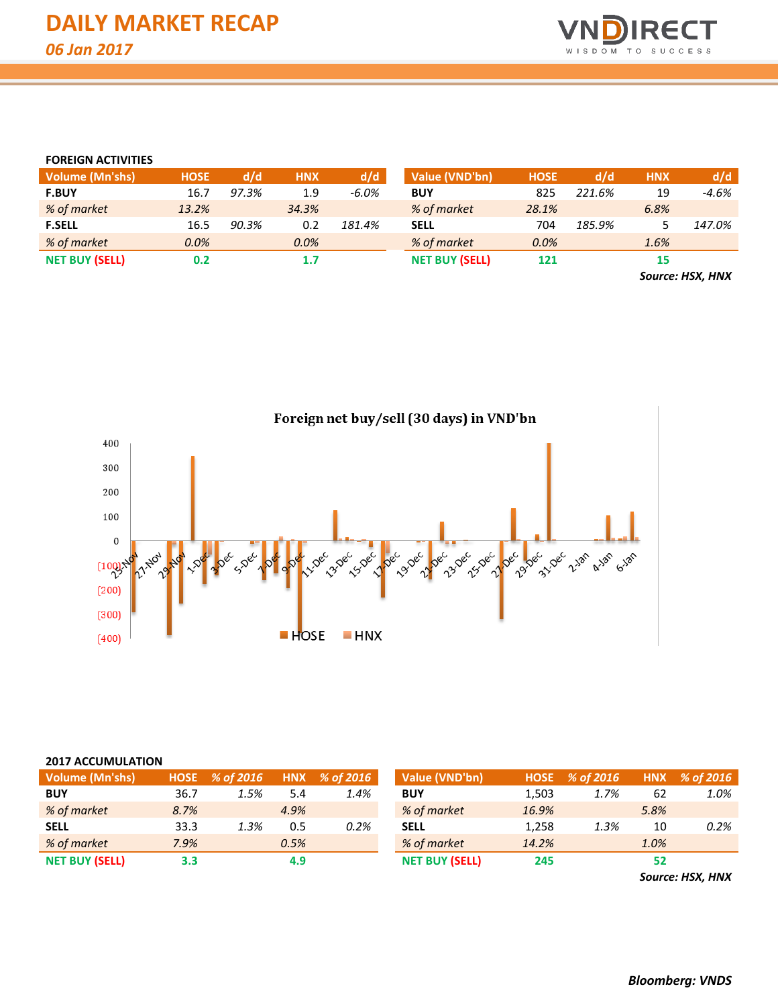

#### **FOREIGN ACTIVITIES**

| <b>Volume (Mn'shs)</b> | <b>HOSE</b> | d/d   | <b>HNX</b> | d/d      | Value (VND'bn)        | <b>HOSE</b> | d/d    | <b>HNX</b>       | d/d     |
|------------------------|-------------|-------|------------|----------|-----------------------|-------------|--------|------------------|---------|
| <b>F.BUY</b>           | 16.7        | 97.3% | 1.9        | $-6.0\%$ | <b>BUY</b>            | 825         | 221.6% | 19               | $-4.6%$ |
| % of market            | 13.2%       |       | 34.3%      |          | % of market           | 28.1%       |        | 6.8%             |         |
| <b>F.SELL</b>          | 16.5        | 90.3% | 0.2        | 181.4%   | <b>SELL</b>           | 704         | 185.9% |                  | 147.0%  |
| % of market            | 0.0%        |       | $0.0\%$    |          | % of market           | 0.0%        |        | 1.6%             |         |
| <b>NET BUY (SELL)</b>  | 0.2         |       | 1.7        |          | <b>NET BUY (SELL)</b> | 121         |        | 15               |         |
|                        |             |       |            |          |                       |             |        | Source: HSX, HNX |         |



## Foreign net buy/sell (30 days) in VND'bn

| <b>2017 ACCUMULATION</b> |                                 |      |      |      |                       |       |                |      |               |
|--------------------------|---------------------------------|------|------|------|-----------------------|-------|----------------|------|---------------|
| Volume (Mn'shs)          | HNX % of 2016<br>HOSE % of 2016 |      |      |      | Value (VND'bn)        |       | HOSE % of 2016 |      | HNX % of 2016 |
| <b>BUY</b>               | 36.7                            | 1.5% | 5.4  | 1.4% | <b>BUY</b>            | 1,503 | 1.7%           | 62   | 1.0%          |
| % of market              | 8.7%                            |      | 4.9% |      | % of market           | 16.9% |                | 5.8% |               |
| <b>SELL</b>              | 33.3                            | 1.3% | 0.5  | 0.2% | <b>SELL</b>           | 1,258 | 1.3%           | 10   | 0.2%          |
| % of market              | 7.9%                            |      | 0.5% |      | % of market           | 14.2% |                | 1.0% |               |
| <b>NET BUY (SELL)</b>    | 3.3                             |      | 4.9  |      | <b>NET BUY (SELL)</b> | 245   |                | 52   |               |

*Source: HSX, HNX*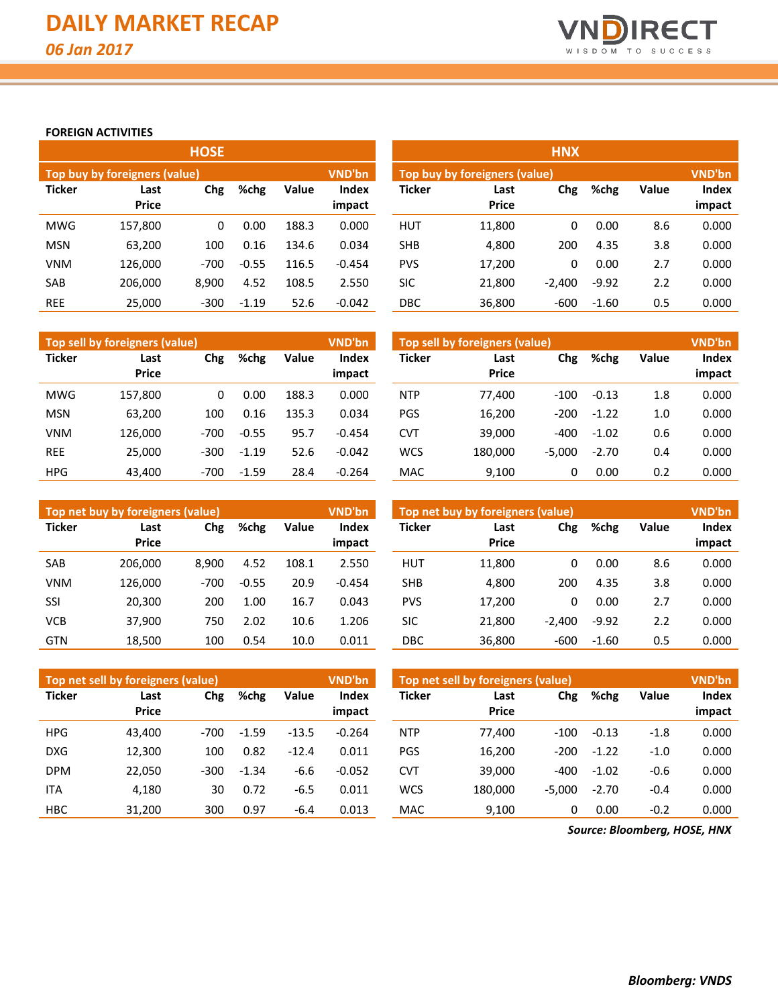

**impact**

#### **FOREIGN ACTIVITIES**

|               |                               | <b>HOSE</b> |         |       |                        | <b>HNX</b>    |                               |          |         |              |                 |  |  |
|---------------|-------------------------------|-------------|---------|-------|------------------------|---------------|-------------------------------|----------|---------|--------------|-----------------|--|--|
|               | Top buy by foreigners (value) |             |         |       | VND'bn                 |               | Top buy by foreigners (value) |          |         |              | <b>VND'bn</b>   |  |  |
| <b>Ticker</b> | Last<br><b>Price</b>          | Chg         | %chg    | Value | <b>Index</b><br>impact | <b>Ticker</b> | Last<br><b>Price</b>          | Chg      | %chg    | <b>Value</b> | Index<br>impact |  |  |
| <b>MWG</b>    | 157,800                       | 0           | 0.00    | 188.3 | 0.000                  | <b>HUT</b>    | 11,800                        | 0        | 0.00    | 8.6          | 0.000           |  |  |
| <b>MSN</b>    | 63,200                        | 100         | 0.16    | 134.6 | 0.034                  | <b>SHB</b>    | 4,800                         | 200      | 4.35    | 3.8          | 0.000           |  |  |
| <b>VNM</b>    | 126,000                       | $-700$      | $-0.55$ | 116.5 | $-0.454$               | <b>PVS</b>    | 17,200                        | 0        | 0.00    | 2.7          | 0.000           |  |  |
| <b>SAB</b>    | 206.000                       | 8.900       | 4.52    | 108.5 | 2.550                  | <b>SIC</b>    | 21,800                        | $-2.400$ | $-9.92$ | 2.2          | 0.000           |  |  |
| <b>REE</b>    | 25,000                        | $-300$      | $-1.19$ | 52.6  | $-0.042$               | DBC           | 36,800                        | $-600$   | $-1.60$ | 0.5          | 0.000           |  |  |

|               | Top sell by foreigners (value) |        |         |              | <b>VND'bn</b>          | Top sell by foreigners (value) |                      |          |         |              | <b>VND'bn</b>   |  |  |
|---------------|--------------------------------|--------|---------|--------------|------------------------|--------------------------------|----------------------|----------|---------|--------------|-----------------|--|--|
| <b>Ticker</b> | Last<br><b>Price</b>           | Chg    | %chg    | <b>Value</b> | <b>Index</b><br>impact | <b>Ticker</b>                  | Last<br><b>Price</b> | Chg      | %chg    | <b>Value</b> | Index<br>impact |  |  |
| <b>MWG</b>    | 157,800                        | 0      | 0.00    | 188.3        | 0.000                  | <b>NTP</b>                     | 77.400               | $-100$   | $-0.13$ | 1.8          | 0.000           |  |  |
| <b>MSN</b>    | 63.200                         | 100    | 0.16    | 135.3        | 0.034                  | <b>PGS</b>                     | 16.200               | $-200$   | $-1.22$ | 1.0          | 0.000           |  |  |
| <b>VNM</b>    | 126.000                        | $-700$ | $-0.55$ | 95.7         | $-0.454$               | <b>CVT</b>                     | 39,000               | $-400$   | $-1.02$ | 0.6          | 0.000           |  |  |
| <b>REE</b>    | 25.000                         | $-300$ | $-1.19$ | 52.6         | $-0.042$               | <b>WCS</b>                     | 180.000              | $-5.000$ | $-2.70$ | 0.4          | 0.000           |  |  |
| <b>HPG</b>    | 43.400                         | $-700$ | $-1.59$ | 28.4         | $-0.264$               | <b>MAC</b>                     | 9,100                | 0        | 0.00    | 0.2          | 0.000           |  |  |

|               | Top sell by foreigners (value) |          |         |              | VND'bn          |
|---------------|--------------------------------|----------|---------|--------------|-----------------|
| <b>Ticker</b> | Last<br>Price                  | Chg      | %chg    | <b>Value</b> | Index<br>impact |
| NTP           | 77,400                         | $-100$   | $-0.13$ | 1.8          | 0.000           |
| PGS           | 16,200                         | $-200$   | $-1.22$ | 1.0          | 0.000           |
| <b>CVT</b>    | 39,000                         | -400     | $-1.02$ | 0.6          | 0.000           |
| <b>WCS</b>    | 180,000                        | $-5,000$ | $-2.70$ | 0.4          | 0.000           |
| <b>MAC</b>    | 9,100                          | 0        | 0.00    | 0.2          | 0.000           |

|               | Top net buy by foreigners (value) |        |         |       | <b>VND'bn</b>   | Top net buy by foreigners (value) | <b>VND'bn</b>        |          |         |              |                 |
|---------------|-----------------------------------|--------|---------|-------|-----------------|-----------------------------------|----------------------|----------|---------|--------------|-----------------|
| <b>Ticker</b> | Last<br><b>Price</b>              | Chg    | %chg    | Value | Index<br>impact | <b>Ticker</b>                     | Last<br><b>Price</b> | Chg      | %chg    | <b>Value</b> | Index<br>impact |
| <b>SAB</b>    | 206.000                           | 8.900  | 4.52    | 108.1 | 2.550           | <b>HUT</b>                        | 11,800               | 0        | 0.00    | 8.6          | 0.000           |
| <b>VNM</b>    | 126,000                           | $-700$ | $-0.55$ | 20.9  | $-0.454$        | <b>SHB</b>                        | 4.800                | 200      | 4.35    | 3.8          | 0.000           |
| SSI           | 20,300                            | 200    | 1.00    | 16.7  | 0.043           | <b>PVS</b>                        | 17,200               | 0        | 0.00    | 2.7          | 0.000           |
| <b>VCB</b>    | 37.900                            | 750    | 2.02    | 10.6  | 1.206           | SIC                               | 21.800               | $-2,400$ | $-9.92$ | 2.2          | 0.000           |
| <b>GTN</b>    | 18,500                            | 100    | 0.54    | 10.0  | 0.011           | DBC                               | 36,800               | -600     | $-1.60$ | 0.5          | 0.000           |

|               | Top net sell by foreigners (value) |        |         |         | <b>VND'bn</b> | Top net sell by foreigners (value), | <b>VND'bn</b> |          |         |              |        |
|---------------|------------------------------------|--------|---------|---------|---------------|-------------------------------------|---------------|----------|---------|--------------|--------|
| <b>Ticker</b> | Last                               | Chg    | %chg    | Value   | Index         | <b>Ticker</b>                       | Last          | Chg      | %chg    | <b>Value</b> | Index  |
|               | <b>Price</b>                       |        |         |         | impact        |                                     | <b>Price</b>  |          |         |              | impact |
| <b>HPG</b>    | 43.400                             | $-700$ | $-1.59$ | $-13.5$ | $-0.264$      | <b>NTP</b>                          | 77.400        | $-100$   | $-0.13$ | $-1.8$       | 0.000  |
| <b>DXG</b>    | 12,300                             | 100    | 0.82    | $-12.4$ | 0.011         | <b>PGS</b>                          | 16,200        | $-200$   | $-1.22$ | $-1.0$       | 0.000  |
| <b>DPM</b>    | 22.050                             | $-300$ | $-1.34$ | $-6.6$  | $-0.052$      | CVT                                 | 39.000        | $-400$   | $-1.02$ | -0.6         | 0.000  |
| <b>ITA</b>    | 4,180                              | 30     | 0.72    | $-6.5$  | 0.011         | <b>WCS</b>                          | 180.000       | $-5.000$ | $-2.70$ | $-0.4$       | 0.000  |
| <b>HBC</b>    | 31.200                             | 300    | 0.97    | $-6.4$  | 0.013         | <b>MAC</b>                          | 9.100         | 0        | 0.00    | $-0.2$       | 0.000  |

*Source: Bloomberg, HOSE, HNX*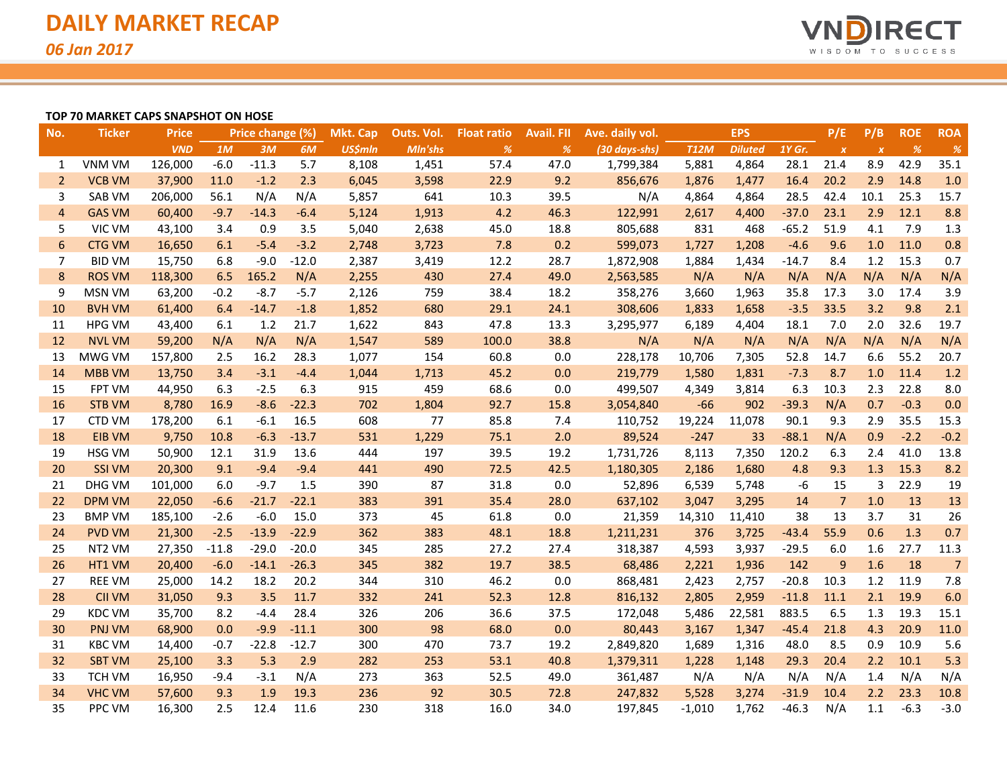

#### **TOP 70 MARKET CAPS SNAPSHOT ON HOSE**

| No.            | <b>Ticker</b>      | <b>Price</b> |         | Price change (%) |         | <b>Mkt. Cap</b> | Outs. Vol. | <b>Float ratio</b> | <b>Avail. Fll</b> | Ave. daily vol. |             | <b>EPS</b>     |         | P/E              | P/B              | <b>ROE</b> | <b>ROA</b>     |
|----------------|--------------------|--------------|---------|------------------|---------|-----------------|------------|--------------------|-------------------|-----------------|-------------|----------------|---------|------------------|------------------|------------|----------------|
|                |                    | <b>VND</b>   | 1M      | 3M               | 6M      | <b>US\$mln</b>  | Mln'shs    | %                  | %                 | (30 days-shs)   | <b>T12M</b> | <b>Diluted</b> | 1Y Gr.  | $\boldsymbol{X}$ | $\boldsymbol{X}$ | %          | %              |
| $\mathbf{1}$   | <b>VNM VM</b>      | 126,000      | $-6.0$  | $-11.3$          | 5.7     | 8,108           | 1,451      | 57.4               | 47.0              | 1,799,384       | 5,881       | 4,864          | 28.1    | 21.4             | 8.9              | 42.9       | 35.1           |
| 2              | <b>VCB VM</b>      | 37,900       | 11.0    | $-1.2$           | 2.3     | 6,045           | 3,598      | 22.9               | 9.2               | 856,676         | 1,876       | 1,477          | 16.4    | 20.2             | 2.9              | 14.8       | 1.0            |
| 3              | <b>SAB VM</b>      | 206,000      | 56.1    | N/A              | N/A     | 5,857           | 641        | 10.3               | 39.5              | N/A             | 4,864       | 4,864          | 28.5    | 42.4             | 10.1             | 25.3       | 15.7           |
| $\overline{4}$ | <b>GAS VM</b>      | 60,400       | $-9.7$  | $-14.3$          | $-6.4$  | 5,124           | 1,913      | 4.2                | 46.3              | 122,991         | 2,617       | 4,400          | $-37.0$ | 23.1             | 2.9              | 12.1       | 8.8            |
| 5              | VIC VM             | 43,100       | 3.4     | 0.9              | 3.5     | 5,040           | 2,638      | 45.0               | 18.8              | 805,688         | 831         | 468            | $-65.2$ | 51.9             | 4.1              | 7.9        | 1.3            |
| 6              | <b>CTG VM</b>      | 16,650       | 6.1     | $-5.4$           | $-3.2$  | 2,748           | 3,723      | 7.8                | 0.2               | 599,073         | 1,727       | 1,208          | $-4.6$  | 9.6              | 1.0              | 11.0       | 0.8            |
| 7              | <b>BID VM</b>      | 15,750       | 6.8     | $-9.0$           | $-12.0$ | 2,387           | 3,419      | 12.2               | 28.7              | 1,872,908       | 1,884       | 1,434          | $-14.7$ | 8.4              | 1.2              | 15.3       | 0.7            |
| 8              | <b>ROS VM</b>      | 118,300      | 6.5     | 165.2            | N/A     | 2,255           | 430        | 27.4               | 49.0              | 2,563,585       | N/A         | N/A            | N/A     | N/A              | N/A              | N/A        | N/A            |
| 9              | <b>MSN VM</b>      | 63,200       | $-0.2$  | $-8.7$           | $-5.7$  | 2,126           | 759        | 38.4               | 18.2              | 358,276         | 3,660       | 1,963          | 35.8    | 17.3             | 3.0              | 17.4       | 3.9            |
| 10             | <b>BVH VM</b>      | 61,400       | 6.4     | $-14.7$          | $-1.8$  | 1,852           | 680        | 29.1               | 24.1              | 308,606         | 1,833       | 1,658          | $-3.5$  | 33.5             | 3.2              | 9.8        | 2.1            |
| 11             | <b>HPG VM</b>      | 43,400       | 6.1     | 1.2              | 21.7    | 1,622           | 843        | 47.8               | 13.3              | 3,295,977       | 6,189       | 4,404          | 18.1    | 7.0              | 2.0              | 32.6       | 19.7           |
| 12             | <b>NVL VM</b>      | 59,200       | N/A     | N/A              | N/A     | 1,547           | 589        | 100.0              | 38.8              | N/A             | N/A         | N/A            | N/A     | N/A              | N/A              | N/A        | N/A            |
| 13             | MWG VM             | 157,800      | 2.5     | 16.2             | 28.3    | 1,077           | 154        | 60.8               | 0.0               | 228,178         | 10,706      | 7,305          | 52.8    | 14.7             | 6.6              | 55.2       | 20.7           |
| 14             | <b>MBB VM</b>      | 13,750       | 3.4     | $-3.1$           | $-4.4$  | 1,044           | 1,713      | 45.2               | 0.0               | 219,779         | 1,580       | 1,831          | $-7.3$  | 8.7              | 1.0              | 11.4       | 1.2            |
| 15             | <b>FPT VM</b>      | 44,950       | 6.3     | $-2.5$           | 6.3     | 915             | 459        | 68.6               | 0.0               | 499,507         | 4,349       | 3,814          | 6.3     | 10.3             | 2.3              | 22.8       | 8.0            |
| 16             | <b>STB VM</b>      | 8,780        | 16.9    | $-8.6$           | $-22.3$ | 702             | 1,804      | 92.7               | 15.8              | 3,054,840       | $-66$       | 902            | $-39.3$ | N/A              | 0.7              | $-0.3$     | 0.0            |
| 17             | <b>CTD VM</b>      | 178,200      | 6.1     | $-6.1$           | 16.5    | 608             | 77         | 85.8               | 7.4               | 110,752         | 19,224      | 11,078         | 90.1    | 9.3              | 2.9              | 35.5       | 15.3           |
| 18             | <b>EIB VM</b>      | 9,750        | 10.8    | $-6.3$           | $-13.7$ | 531             | 1,229      | 75.1               | 2.0               | 89,524          | $-247$      | 33             | $-88.1$ | N/A              | 0.9              | $-2.2$     | $-0.2$         |
| 19             | HSG VM             | 50,900       | 12.1    | 31.9             | 13.6    | 444             | 197        | 39.5               | 19.2              | 1,731,726       | 8,113       | 7,350          | 120.2   | 6.3              | 2.4              | 41.0       | 13.8           |
| 20             | <b>SSI VM</b>      | 20,300       | 9.1     | $-9.4$           | $-9.4$  | 441             | 490        | 72.5               | 42.5              | 1,180,305       | 2,186       | 1,680          | 4.8     | 9.3              | 1.3              | 15.3       | 8.2            |
| 21             | <b>DHG VM</b>      | 101,000      | 6.0     | $-9.7$           | 1.5     | 390             | 87         | 31.8               | 0.0               | 52,896          | 6,539       | 5,748          | -6      | 15               | 3                | 22.9       | 19             |
| 22             | <b>DPM VM</b>      | 22,050       | $-6.6$  | $-21.7$          | $-22.1$ | 383             | 391        | 35.4               | 28.0              | 637,102         | 3,047       | 3,295          | 14      | $\overline{7}$   | 1.0              | 13         | 13             |
| 23             | <b>BMP VM</b>      | 185,100      | $-2.6$  | $-6.0$           | 15.0    | 373             | 45         | 61.8               | 0.0               | 21,359          | 14,310      | 11,410         | 38      | 13               | 3.7              | 31         | 26             |
| 24             | <b>PVD VM</b>      | 21,300       | $-2.5$  | $-13.9$          | $-22.9$ | 362             | 383        | 48.1               | 18.8              | 1,211,231       | 376         | 3,725          | $-43.4$ | 55.9             | 0.6              | 1.3        | 0.7            |
| 25             | NT <sub>2</sub> VM | 27,350       | $-11.8$ | $-29.0$          | $-20.0$ | 345             | 285        | 27.2               | 27.4              | 318,387         | 4,593       | 3,937          | $-29.5$ | 6.0              | 1.6              | 27.7       | 11.3           |
| 26             | HT1 VM             | 20,400       | $-6.0$  | $-14.1$          | $-26.3$ | 345             | 382        | 19.7               | 38.5              | 68,486          | 2,221       | 1,936          | 142     | 9                | 1.6              | 18         | $\overline{7}$ |
| 27             | <b>REE VM</b>      | 25,000       | 14.2    | 18.2             | 20.2    | 344             | 310        | 46.2               | 0.0               | 868,481         | 2,423       | 2,757          | $-20.8$ | 10.3             | 1.2              | 11.9       | 7.8            |
| 28             | <b>CII VM</b>      | 31,050       | 9.3     | 3.5              | 11.7    | 332             | 241        | 52.3               | 12.8              | 816,132         | 2,805       | 2,959          | $-11.8$ | 11.1             | 2.1              | 19.9       | 6.0            |
| 29             | <b>KDC VM</b>      | 35,700       | 8.2     | $-4.4$           | 28.4    | 326             | 206        | 36.6               | 37.5              | 172,048         | 5,486       | 22,581         | 883.5   | 6.5              | 1.3              | 19.3       | 15.1           |
| 30             | <b>PNJ VM</b>      | 68,900       | 0.0     | $-9.9$           | $-11.1$ | 300             | 98         | 68.0               | 0.0               | 80,443          | 3,167       | 1,347          | $-45.4$ | 21.8             | 4.3              | 20.9       | 11.0           |
| 31             | <b>KBC VM</b>      | 14,400       | $-0.7$  | $-22.8$          | $-12.7$ | 300             | 470        | 73.7               | 19.2              | 2,849,820       | 1,689       | 1,316          | 48.0    | 8.5              | 0.9              | 10.9       | 5.6            |
| 32             | <b>SBT VM</b>      | 25,100       | 3.3     | 5.3              | 2.9     | 282             | 253        | 53.1               | 40.8              | 1,379,311       | 1,228       | 1,148          | 29.3    | 20.4             | 2.2              | 10.1       | 5.3            |
| 33             | <b>TCH VM</b>      | 16,950       | $-9.4$  | $-3.1$           | N/A     | 273             | 363        | 52.5               | 49.0              | 361,487         | N/A         | N/A            | N/A     | N/A              | 1.4              | N/A        | N/A            |
| 34             | <b>VHC VM</b>      | 57,600       | 9.3     | 1.9              | 19.3    | 236             | 92         | 30.5               | 72.8              | 247,832         | 5,528       | 3,274          | $-31.9$ | 10.4             | 2.2              | 23.3       | 10.8           |
| 35             | <b>PPC VM</b>      | 16,300       | 2.5     | 12.4             | 11.6    | 230             | 318        | 16.0               | 34.0              | 197,845         | $-1,010$    | 1,762          | $-46.3$ | N/A              | 1.1              | $-6.3$     | $-3.0$         |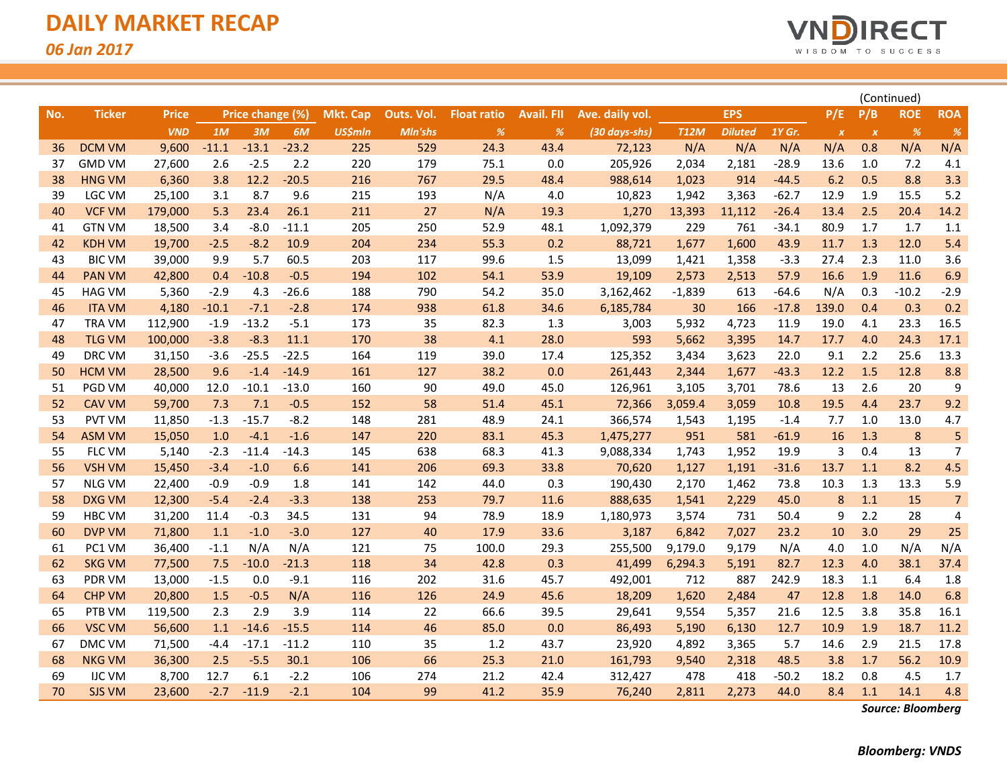

|     |               |              |         |                  |         |                |            |                    |                   |                 |             |                |         |                  |                           | (Continued) |                |
|-----|---------------|--------------|---------|------------------|---------|----------------|------------|--------------------|-------------------|-----------------|-------------|----------------|---------|------------------|---------------------------|-------------|----------------|
| No. | <b>Ticker</b> | <b>Price</b> |         | Price change (%) |         | Mkt. Cap       | Outs. Vol. | <b>Float ratio</b> | <b>Avail. FII</b> | Ave. daily vol. |             | <b>EPS</b>     |         | P/E              | P/B                       | <b>ROE</b>  | <b>ROA</b>     |
|     |               | <b>VND</b>   | 1M      | 3M               | 6M      | <b>US\$mln</b> | Mln'shs    | %                  | $\frac{9}{6}$     | (30 days-shs)   | <b>T12M</b> | <b>Diluted</b> | 1Y Gr.  | $\boldsymbol{X}$ | $\boldsymbol{\mathsf{x}}$ | %           | $\%$           |
| 36  | <b>DCM VM</b> | 9,600        | $-11.1$ | $-13.1$          | $-23.2$ | 225            | 529        | 24.3               | 43.4              | 72,123          | N/A         | N/A            | N/A     | N/A              | 0.8                       | N/A         | N/A            |
| 37  | <b>GMD VM</b> | 27,600       | 2.6     | $-2.5$           | 2.2     | 220            | 179        | 75.1               | 0.0               | 205,926         | 2,034       | 2,181          | $-28.9$ | 13.6             | 1.0                       | 7.2         | 4.1            |
| 38  | <b>HNG VM</b> | 6,360        | 3.8     | 12.2             | $-20.5$ | 216            | 767        | 29.5               | 48.4              | 988,614         | 1,023       | 914            | $-44.5$ | 6.2              | 0.5                       | 8.8         | 3.3            |
| 39  | LGC VM        | 25,100       | 3.1     | 8.7              | 9.6     | 215            | 193        | N/A                | 4.0               | 10,823          | 1,942       | 3,363          | $-62.7$ | 12.9             | 1.9                       | 15.5        | 5.2            |
| 40  | <b>VCF VM</b> | 179,000      | 5.3     | 23.4             | 26.1    | 211            | 27         | N/A                | 19.3              | 1,270           | 13,393      | 11,112         | $-26.4$ | 13.4             | 2.5                       | 20.4        | 14.2           |
| 41  | <b>GTN VM</b> | 18,500       | 3.4     | $-8.0$           | $-11.1$ | 205            | 250        | 52.9               | 48.1              | 1,092,379       | 229         | 761            | $-34.1$ | 80.9             | 1.7                       | 1.7         | 1.1            |
| 42  | <b>KDH VM</b> | 19,700       | $-2.5$  | $-8.2$           | 10.9    | 204            | 234        | 55.3               | 0.2               | 88,721          | 1,677       | 1,600          | 43.9    | 11.7             | 1.3                       | 12.0        | 5.4            |
| 43  | <b>BIC VM</b> | 39,000       | 9.9     | 5.7              | 60.5    | 203            | 117        | 99.6               | 1.5               | 13,099          | 1,421       | 1,358          | $-3.3$  | 27.4             | 2.3                       | 11.0        | 3.6            |
| 44  | <b>PAN VM</b> | 42,800       | 0.4     | $-10.8$          | $-0.5$  | 194            | 102        | 54.1               | 53.9              | 19,109          | 2,573       | 2,513          | 57.9    | 16.6             | 1.9                       | 11.6        | 6.9            |
| 45  | <b>HAG VM</b> | 5,360        | $-2.9$  | 4.3              | $-26.6$ | 188            | 790        | 54.2               | 35.0              | 3,162,462       | $-1,839$    | 613            | $-64.6$ | N/A              | 0.3                       | $-10.2$     | $-2.9$         |
| 46  | <b>ITA VM</b> | 4,180        | $-10.1$ | $-7.1$           | $-2.8$  | 174            | 938        | 61.8               | 34.6              | 6,185,784       | 30          | 166            | $-17.8$ | 139.0            | 0.4                       | 0.3         | 0.2            |
| 47  | <b>TRA VM</b> | 112,900      | $-1.9$  | $-13.2$          | $-5.1$  | 173            | 35         | 82.3               | 1.3               | 3,003           | 5,932       | 4,723          | 11.9    | 19.0             | 4.1                       | 23.3        | 16.5           |
| 48  | <b>TLG VM</b> | 100,000      | $-3.8$  | $-8.3$           | 11.1    | 170            | 38         | 4.1                | 28.0              | 593             | 5,662       | 3,395          | 14.7    | 17.7             | 4.0                       | 24.3        | 17.1           |
| 49  | DRC VM        | 31,150       | $-3.6$  | $-25.5$          | $-22.5$ | 164            | 119        | 39.0               | 17.4              | 125,352         | 3,434       | 3,623          | 22.0    | 9.1              | 2.2                       | 25.6        | 13.3           |
| 50  | <b>HCM VM</b> | 28,500       | 9.6     | $-1.4$           | $-14.9$ | 161            | 127        | 38.2               | 0.0               | 261,443         | 2,344       | 1,677          | $-43.3$ | 12.2             | 1.5                       | 12.8        | 8.8            |
| 51  | <b>PGD VM</b> | 40,000       | 12.0    | $-10.1$          | $-13.0$ | 160            | 90         | 49.0               | 45.0              | 126,961         | 3,105       | 3,701          | 78.6    | 13               | 2.6                       | 20          | 9              |
| 52  | <b>CAV VM</b> | 59,700       | 7.3     | 7.1              | $-0.5$  | 152            | 58         | 51.4               | 45.1              | 72,366          | 3,059.4     | 3,059          | 10.8    | 19.5             | 4.4                       | 23.7        | 9.2            |
| 53  | <b>PVT VM</b> | 11,850       | $-1.3$  | $-15.7$          | $-8.2$  | 148            | 281        | 48.9               | 24.1              | 366,574         | 1,543       | 1,195          | $-1.4$  | 7.7              | 1.0                       | 13.0        | 4.7            |
| 54  | <b>ASM VM</b> | 15,050       | 1.0     | $-4.1$           | $-1.6$  | 147            | 220        | 83.1               | 45.3              | 1,475,277       | 951         | 581            | $-61.9$ | 16               | 1.3                       | $\bf 8$     | 5              |
| 55  | FLC VM        | 5,140        | $-2.3$  | $-11.4$          | $-14.3$ | 145            | 638        | 68.3               | 41.3              | 9,088,334       | 1,743       | 1,952          | 19.9    | $\overline{3}$   | 0.4                       | 13          | $\overline{7}$ |
| 56  | <b>VSH VM</b> | 15,450       | $-3.4$  | $-1.0$           | 6.6     | 141            | 206        | 69.3               | 33.8              | 70,620          | 1,127       | 1,191          | $-31.6$ | 13.7             | 1.1                       | 8.2         | 4.5            |
| 57  | <b>NLG VM</b> | 22,400       | $-0.9$  | $-0.9$           | 1.8     | 141            | 142        | 44.0               | 0.3               | 190,430         | 2,170       | 1,462          | 73.8    | 10.3             | 1.3                       | 13.3        | 5.9            |
| 58  | <b>DXG VM</b> | 12,300       | $-5.4$  | $-2.4$           | $-3.3$  | 138            | 253        | 79.7               | 11.6              | 888,635         | 1,541       | 2,229          | 45.0    | 8                | 1.1                       | 15          | $\overline{7}$ |
| 59  | <b>HBC VM</b> | 31,200       | 11.4    | $-0.3$           | 34.5    | 131            | 94         | 78.9               | 18.9              | 1,180,973       | 3,574       | 731            | 50.4    | 9                | 2.2                       | 28          | 4              |
| 60  | <b>DVP VM</b> | 71,800       | 1.1     | $-1.0$           | $-3.0$  | 127            | 40         | 17.9               | 33.6              | 3,187           | 6,842       | 7,027          | 23.2    | 10               | 3.0                       | 29          | 25             |
| 61  | PC1 VM        | 36,400       | $-1.1$  | N/A              | N/A     | 121            | 75         | 100.0              | 29.3              | 255,500         | 9,179.0     | 9,179          | N/A     | 4.0              | 1.0                       | N/A         | N/A            |
| 62  | <b>SKG VM</b> | 77,500       | 7.5     | $-10.0$          | $-21.3$ | 118            | 34         | 42.8               | 0.3               | 41,499          | 6,294.3     | 5,191          | 82.7    | 12.3             | 4.0                       | 38.1        | 37.4           |
| 63  | PDR VM        | 13,000       | $-1.5$  | 0.0              | $-9.1$  | 116            | 202        | 31.6               | 45.7              | 492,001         | 712         | 887            | 242.9   | 18.3             | 1.1                       | 6.4         | 1.8            |
| 64  | <b>CHP VM</b> | 20,800       | 1.5     | $-0.5$           | N/A     | 116            | 126        | 24.9               | 45.6              | 18,209          | 1,620       | 2,484          | 47      | 12.8             | 1.8                       | 14.0        | 6.8            |
| 65  | PTB VM        | 119,500      | 2.3     | 2.9              | 3.9     | 114            | 22         | 66.6               | 39.5              | 29,641          | 9,554       | 5,357          | 21.6    | 12.5             | 3.8                       | 35.8        | 16.1           |
| 66  | <b>VSC VM</b> | 56,600       | 1.1     | $-14.6$          | $-15.5$ | 114            | 46         | 85.0               | 0.0               | 86,493          | 5,190       | 6,130          | 12.7    | 10.9             | 1.9                       | 18.7        | 11.2           |
| 67  | DMC VM        | 71,500       | $-4.4$  | $-17.1$          | $-11.2$ | 110            | 35         | 1.2                | 43.7              | 23,920          | 4,892       | 3,365          | 5.7     | 14.6             | 2.9                       | 21.5        | 17.8           |
| 68  | <b>NKG VM</b> | 36,300       | 2.5     | $-5.5$           | 30.1    | 106            | 66         | 25.3               | 21.0              | 161,793         | 9,540       | 2,318          | 48.5    | 3.8              | 1.7                       | 56.2        | 10.9           |
| 69  | <b>IJC VM</b> | 8,700        | 12.7    | 6.1              | $-2.2$  | 106            | 274        | 21.2               | 42.4              | 312,427         | 478         | 418            | $-50.2$ | 18.2             | 0.8                       | 4.5         | 1.7            |
| 70  | <b>SJS VM</b> | 23,600       | $-2.7$  | $-11.9$          | $-2.1$  | 104            | 99         | 41.2               | 35.9              | 76,240          | 2,811       | 2,273          | 44.0    | 8.4              | 1.1                       | 14.1        | 4.8            |

*Source: Bloomberg*